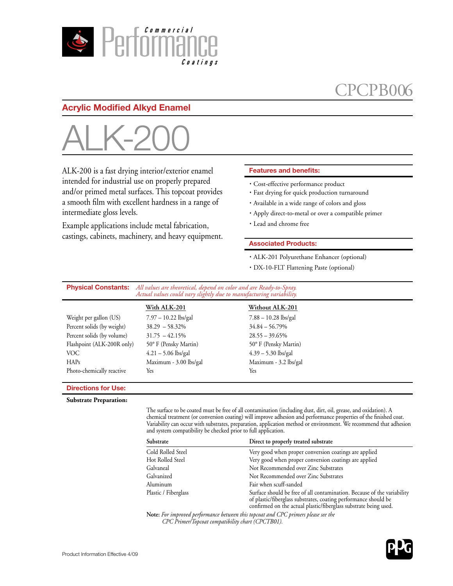

## CPCPB00

### **Acrylic Modified Alkyd Enamel**



ALK-200 is a fast drying interior/exterior enamel intended for industrial use on properly prepared and/or primed metal surfaces. This topcoat provides a smooth film with excellent hardness in a range of intermediate gloss levels.

Example applications include metal fabrication, castings, cabinets, machinery, and heavy equipment.

#### **Features and benefits:**

- · Cost-effective performance product
- · Fast drying for quick production turnaround
- · Available in a wide range of colors and gloss
- · Apply direct-to-metal or over a compatible primer
- · Lead and chrome free

#### **Associated Products:**

- · ALK-201 Polyurethane Enhancer (optional)
- · DX-10-FLT Flattening Paste (optional)

**Physical Constants:** *All values are theoretical, depend on color and are Ready-to-Spray. Actual values could vary slightly due to manufacturing variability.*

|                            | With ALK-201           | Without ALK-201        |
|----------------------------|------------------------|------------------------|
| Weight per gallon (US)     | $7.97 - 10.22$ lbs/gal | $7.88 - 10.28$ lbs/gal |
| Percent solids (by weight) | $38.29 - 58.32\%$      | $34.84 - 56.79\%$      |
| Percent solids (by volume) | $31.75 - 42.15\%$      | $28.55 - 39.65\%$      |
| Flashpoint (ALK-200R only) | 50° F (Pensky Martin)  | 50° F (Pensky Martin)  |
| VOC.                       | $4.21 - 5.06$ lbs/gal  | $4.39 - 5.30$ lbs/gal  |
| HAPs                       | Maximum - 3.00 lbs/gal | Maximum - 3.2 lbs/gal  |
| Photo-chemically reactive  | Yes                    | Yes                    |

#### **Directions for Use:**

**Substrate Preparation:**

The surface to be coated must be free of all contamination (including dust, dirt, oil, grease, and oxidation). A chemical treatment (or conversion coating) will improve adhesion and performance properties of the finished coat. Variability can occur with substrates, preparation, application method or environment. We recommend that adhesion and system compatibility be checked prior to full application.

| Substrate            | Direct to properly treated substrate                                                                                                                                                                           |
|----------------------|----------------------------------------------------------------------------------------------------------------------------------------------------------------------------------------------------------------|
| Cold Rolled Steel    | Very good when proper conversion coatings are applied                                                                                                                                                          |
| Hot Rolled Steel     | Very good when proper conversion coatings are applied                                                                                                                                                          |
| Galvaneal            | Not Recommended over Zinc Substrates                                                                                                                                                                           |
| Galvanized           | Not Recommended over Zinc Substrates                                                                                                                                                                           |
| Aluminum             | Fair when scuff-sanded                                                                                                                                                                                         |
| Plastic / Fiberglass | Surface should be free of all contamination. Because of the variability<br>of plastic/fiberglass substrates, coating performance should be<br>confirmed on the actual plastic/fiberglass substrate being used. |

**Note:** *For improved performance between this topcoat and CPC primers please see the CPC Primer/Topcoat compatibility chart (CPCTB01).*

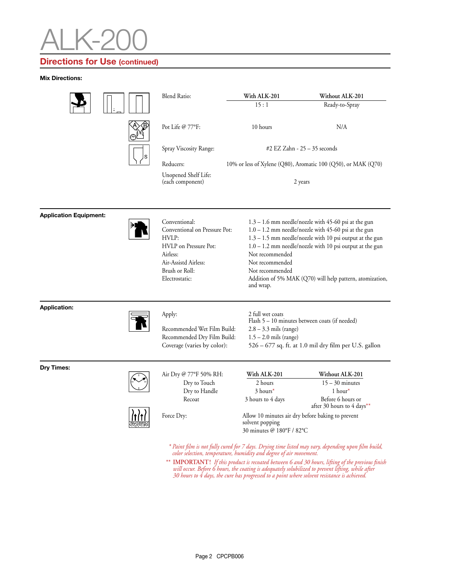# ALK-200

### **Directions for Use (continued)**

**Mix Directions:** 

|                               |  | <b>Blend Ratio:</b>                                                                                                                                      | With ALK-201                                                                                                                                                                        | Without ALK-201                                                                                                                                                                                                                                                                                        |
|-------------------------------|--|----------------------------------------------------------------------------------------------------------------------------------------------------------|-------------------------------------------------------------------------------------------------------------------------------------------------------------------------------------|--------------------------------------------------------------------------------------------------------------------------------------------------------------------------------------------------------------------------------------------------------------------------------------------------------|
|                               |  |                                                                                                                                                          | 15:1                                                                                                                                                                                | Ready-to-Spray                                                                                                                                                                                                                                                                                         |
|                               |  | Pot Life $@ 77$ °F:                                                                                                                                      | 10 hours                                                                                                                                                                            | N/A                                                                                                                                                                                                                                                                                                    |
|                               |  | Spray Viscosity Range:                                                                                                                                   | #2 EZ Zahn - 25 – 35 seconds                                                                                                                                                        |                                                                                                                                                                                                                                                                                                        |
|                               |  | Reducers:                                                                                                                                                | 10% or less of Xylene (Q80), Aromatic 100 (Q50), or MAK (Q70)                                                                                                                       |                                                                                                                                                                                                                                                                                                        |
|                               |  | Unopened Shelf Life:<br>(each component)                                                                                                                 |                                                                                                                                                                                     | 2 years                                                                                                                                                                                                                                                                                                |
| <b>Application Equipment:</b> |  |                                                                                                                                                          |                                                                                                                                                                                     |                                                                                                                                                                                                                                                                                                        |
|                               |  | Conventional:<br>Conventional on Pressure Pot:<br>HVLP:<br>HVLP on Pressure Pot:<br>Airless:<br>Air-Assistd Airless:<br>Brush or Roll:<br>Electrostatic: | Not recommended<br>Not recommended<br>Not recommended<br>and wrap.                                                                                                                  | $1.3 - 1.6$ mm needle/nozzle with 45-60 psi at the gun<br>$1.0 - 1.2$ mm needle/nozzle with 45-60 psi at the gun<br>1.3 - 1.5 mm needle/nozzle with 10 psi output at the gun<br>$1.0 - 1.2$ mm needle/nozzle with 10 psi output at the gun<br>Addition of 5% MAK (Q70) will help pattern, atomization, |
| <b>Application:</b>           |  | Apply:<br>Recommended Wet Film Build:<br>Recommended Dry Film Build:<br>Coverage (varies by color):                                                      | 2 full wet coats<br>Flash 5 – 10 minutes between coats (if needed)<br>$2.8 - 3.3$ mils (range)<br>$1.5 - 2.0$ mils (range)<br>526 - 677 sq. ft. at 1.0 mil dry film per U.S. gallon |                                                                                                                                                                                                                                                                                                        |
| Dry Times:                    |  | Air Dry @ 77°F 50% RH:<br>Dry to Touch<br>Dry to Handle<br>Recoat                                                                                        | With ALK-201<br>2 hours<br>3 hours*<br>3 hours to 4 days                                                                                                                            | Without ALK-201<br>$15 - 30$ minutes<br>$1$ hour*<br>Before 6 hours or<br>after 30 hours to 4 days**                                                                                                                                                                                                   |
|                               |  | Force Dry:                                                                                                                                               | Allow 10 minutes air dry before baking to prevent<br>solvent popping<br>30 minutes @ 180°F / 82°C                                                                                   |                                                                                                                                                                                                                                                                                                        |
|                               |  | color selection, temperature, humidity and degree of air movement.                                                                                       |                                                                                                                                                                                     | * Paint film is not fully cured for 7 days. Drying time listed may vary, depending upon film build,<br>** IMPORTANT! If this product is recoated between 6 and 30 hours, lifting of the previous finish                                                                                                |

*\*\** **IMPORTANT!** *If this product is recoated between 6 and 30 hours, lifting of the previous finish*  will occur. Before 6 hours, the coating is adequately solubilized to prevent lifting, while after<br>30 hours to 4 days, the cure has progressed to a point where solvent resistance is achieved.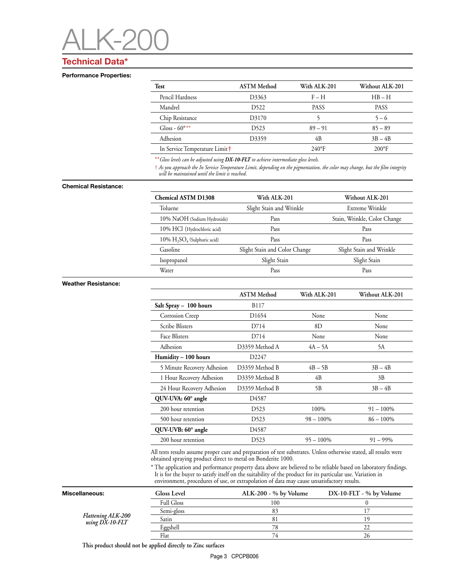# ALK-200

### **Technical Data\***

#### **Performance Properties:**

| Test                                      | <b>ASTM</b> Method | With ALK-201  | Without ALK-201 |
|-------------------------------------------|--------------------|---------------|-----------------|
| Pencil Hardness                           | D <sub>3363</sub>  | $F - H$       | $HB - H$        |
| Mandrel                                   | D <sub>522</sub>   | <b>PASS</b>   | <b>PASS</b>     |
| Chip Resistance                           | D3170              |               | $5 - 6$         |
| Gloss - $60^{\circ**}$                    | D523               | $89 - 91$     | $85 - 89$       |
| Adhesion                                  | D3359              | 4B            | $3B - 4B$       |
| In Service Temperature Limit <sup>+</sup> |                    | $240^\circ F$ | $200^{\circ}F$  |

\*\**Gloss levels can be adjusted using DX-10-FLT to achieve intermediate gloss levels.*

† *As you approach the In Service Temperature Limit, depending on the pigmentation, the color may change, but the film integrity will be maintained until the limit is reached*.

#### **Chemical Resistance:**

| <b>Chemical ASTM D1308</b>     | With ALK-201                  | Without ALK-201              |  |
|--------------------------------|-------------------------------|------------------------------|--|
| Toluene                        | Slight Stain and Wrinkle      | Extreme Wrinkle              |  |
| 10% NaOH (Sodium Hydroxide)    | Pass                          | Stain, Wrinkle, Color Change |  |
| 10% HCl (Hydrochloric acid)    | Pass                          | Pass                         |  |
| 10% $H_2SO_4$ (Sulphuric acid) | Pass                          | Pass                         |  |
| Gasoline                       | Slight Stain and Color Change | Slight Stain and Wrinkle     |  |
| Isopropanol                    | Slight Stain                  | Slight Stain                 |  |
| Water                          | Pass                          | Pass                         |  |

#### **Weather Resistance:**

|                            | <b>ASTM</b> Method        | With ALK-201 | Without ALK-201 |
|----------------------------|---------------------------|--------------|-----------------|
| Salt Spray - 100 hours     | B117                      |              |                 |
| Corrosion Creep            | D <sub>1654</sub><br>None |              | None            |
| <b>Scribe Blisters</b>     | D714<br>8D                |              | None            |
| Face Blisters              | D714                      | None         | None            |
| Adhesion                   | D3359 Method A            | $4A - 5A$    | 5A              |
| Humidity - 100 hours       | D2247                     |              |                 |
| 5 Minute Recovery Adhesion | D3359 Method B            | $4B - 5B$    | $3B - 4B$       |
| 1 Hour Recovery Adhesion   | D3359 Method B            | 4B           | 3B              |
| 24 Hour Recovery Adhesion  | D3359 Method B            | 5B           | $3B - 4B$       |
| QUV-UVA: 60° angle         | D4587                     |              |                 |
| 200 hour retention         | D <sub>523</sub>          | 100%         | $91 - 100\%$    |
| 500 hour retention         | D <sub>523</sub>          | $98 - 100\%$ | $86 - 100\%$    |
| QUV-UVB: 60° angle         | D4587                     |              |                 |
| 200 hour retention         | D523                      | $95 - 100\%$ | $91 - 99\%$     |

All tests results assume proper cure and preparation of test substrates. Unless otherwise stated, all results were obtained spraying product direct to metal on Bonderite 1000.

\* The application and performance property data above are believed to be reliable based on laboratory findings. It is for the buyer to satisfy itself on the suitability of the product for its particular use. Variation in environment, procedures of use, or extrapolation of data may cause unsatisfactory results.

| Miscellaneous:                        | <b>Gloss Level</b> | $ALK-200 - % by Volume$ | $DX-10-FLT - % by Volume$ |
|---------------------------------------|--------------------|-------------------------|---------------------------|
| Flattening ALK-200<br>using DX-10-FLT | <b>Full Gloss</b>  | 100                     |                           |
|                                       | Semi-gloss         |                         |                           |
|                                       | Satin              |                         |                           |
|                                       | Eggshell           | 78                      | $\sim$                    |
|                                       | Flat               | 74                      |                           |

 **This product should not be applied directly to Zinc surfaces**